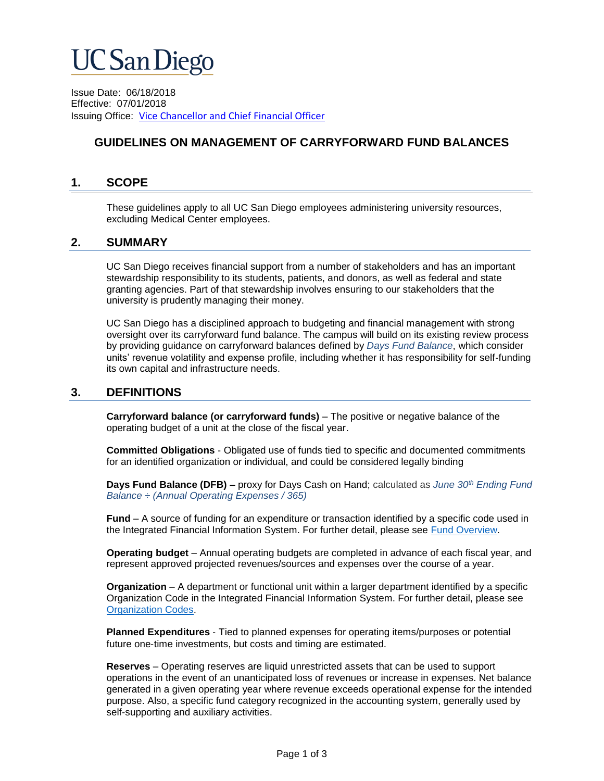# **UC San Diego**

Issue Date: 06/18/2018 Effective: 07/01/2018 Issuing Office:[Vice Chancellor and Chief Financial Officer](https://blink.ucsd.edu/sponsor/VCCFO/index.html)

# **GUIDELINES ON MANAGEMENT OF CARRYFORWARD FUND BALANCES**

### **1. SCOPE**

These guidelines apply to all UC San Diego employees administering university resources, excluding Medical Center employees.

#### **2. SUMMARY**

UC San Diego receives financial support from a number of stakeholders and has an important stewardship responsibility to its students, patients, and donors, as well as federal and state granting agencies. Part of that stewardship involves ensuring to our stakeholders that the university is prudently managing their money.

UC San Diego has a disciplined approach to budgeting and financial management with strong oversight over its carryforward fund balance. The campus will build on its existing review process by providing guidance on carryforward balances defined by *Days Fund Balance*, which consider units' revenue volatility and expense profile, including whether it has responsibility for self‐funding its own capital and infrastructure needs.

#### **3. DEFINITIONS**

**Carryforward balance (or carryforward funds)** – The positive or negative balance of the operating budget of a unit at the close of the fiscal year.

**Committed Obligations** ‐ Obligated use of funds tied to specific and documented commitments for an identified organization or individual, and could be considered legally binding

**Days Fund Balance (DFB) –** proxy for Days Cash on Hand; calculated as *June 30th Ending Fund Balance ÷ (Annual Operating Expenses / 365)*

**Fund** – A source of funding for an expenditure or transaction identified by a specific code used in the Integrated Financial Information System. For further detail, please see [Fund Overview.](http://blink.ucsd.edu/finance/accounting/chart/fund/index.html)

**Operating budget** – Annual operating budgets are completed in advance of each fiscal year, and represent approved projected revenues/sources and expenses over the course of a year.

**Organization** – A department or functional unit within a larger department identified by a specific Organization Code in the Integrated Financial Information System. For further detail, please see [Organization Codes.](http://blink.ucsd.edu/finance/accounting/chart/codes/organization.html)

**Planned Expenditures** ‐ Tied to planned expenses for operating items/purposes or potential future one-time investments, but costs and timing are estimated.

**Reserves** – Operating reserves are liquid unrestricted assets that can be used to support operations in the event of an unanticipated loss of revenues or increase in expenses. Net balance generated in a given operating year where revenue exceeds operational expense for the intended purpose. Also, a specific fund category recognized in the accounting system, generally used by self-supporting and auxiliary activities.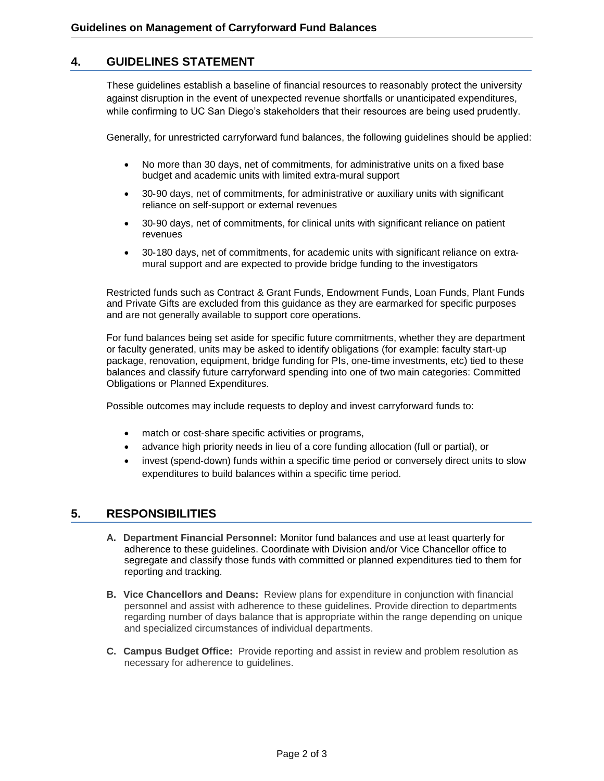# **4. GUIDELINES STATEMENT**

These guidelines establish a baseline of financial resources to reasonably protect the university against disruption in the event of unexpected revenue shortfalls or unanticipated expenditures, while confirming to UC San Diego's stakeholders that their resources are being used prudently.

Generally, for unrestricted carryforward fund balances, the following guidelines should be applied:

- No more than 30 days, net of commitments, for administrative units on a fixed base budget and academic units with limited extra-mural support
- 30-90 days, net of commitments, for administrative or auxiliary units with significant reliance on self-support or external revenues
- 30-90 days, net of commitments, for clinical units with significant reliance on patient revenues
- 30-180 days, net of commitments, for academic units with significant reliance on extramural support and are expected to provide bridge funding to the investigators

Restricted funds such as Contract & Grant Funds, Endowment Funds, Loan Funds, Plant Funds and Private Gifts are excluded from this guidance as they are earmarked for specific purposes and are not generally available to support core operations.

For fund balances being set aside for specific future commitments, whether they are department or faculty generated, units may be asked to identify obligations (for example: faculty start‐up package, renovation, equipment, bridge funding for PIs, one‐time investments, etc) tied to these balances and classify future carryforward spending into one of two main categories: Committed Obligations or Planned Expenditures.

Possible outcomes may include requests to deploy and invest carryforward funds to:

- match or cost‐share specific activities or programs,
- advance high priority needs in lieu of a core funding allocation (full or partial), or
- invest (spend-down) funds within a specific time period or conversely direct units to slow expenditures to build balances within a specific time period.

#### **5. RESPONSIBILITIES**

- **A. Department Financial Personnel:** Monitor fund balances and use at least quarterly for adherence to these guidelines. Coordinate with Division and/or Vice Chancellor office to segregate and classify those funds with committed or planned expenditures tied to them for reporting and tracking.
- **B. Vice Chancellors and Deans:** Review plans for expenditure in conjunction with financial personnel and assist with adherence to these guidelines. Provide direction to departments regarding number of days balance that is appropriate within the range depending on unique and specialized circumstances of individual departments.
- **C. Campus Budget Office:** Provide reporting and assist in review and problem resolution as necessary for adherence to guidelines.